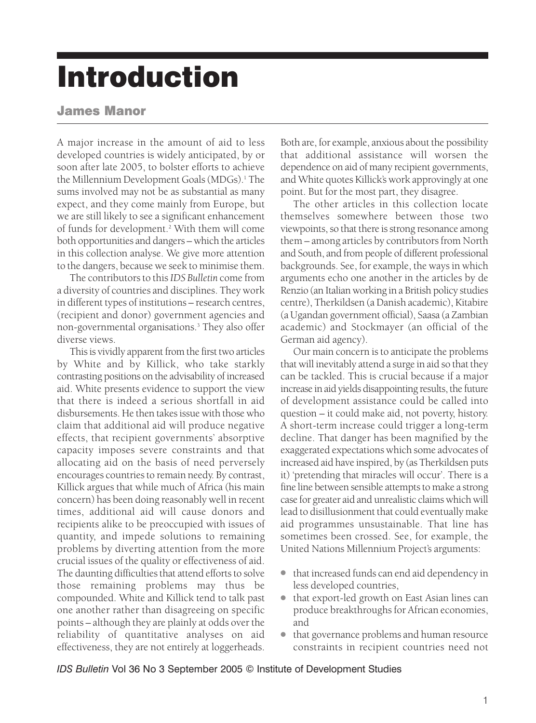# Introduction

# James Manor

A major increase in the amount of aid to less developed countries is widely anticipated, by or soon after late 2005, to bolster efforts to achieve the Millennium Development Goals (MDGs).<sup>1</sup> The sums involved may not be as substantial as many expect, and they come mainly from Europe, but we are still likely to see a significant enhancement of funds for development. <sup>2</sup> With them will come both opportunities and dangers – which the articles in this collection analyse. We give more attention to the dangers, because we seek to minimise them.

The contributors to this *IDS Bulletin* come from a diversity of countries and disciplines. They work in different types of institutions – research centres, (recipient and donor) government agencies and non-governmental organisations. <sup>3</sup> They also offer diverse views.

This is vividly apparent from the first two articles by White and by Killick, who take starkly contrasting positions on the advisability of increased aid. White presents evidence to support the view that there is indeed a serious shortfall in aid disbursements. He then takes issue with those who claim that additional aid will produce negative effects, that recipient governments' absorptive capacity imposes severe constraints and that allocating aid on the basis of need perversely encourages countries to remain needy. By contrast, Killick argues that while much of Africa (his main concern) has been doing reasonably well in recent times, additional aid will cause donors and recipients alike to be preoccupied with issues of quantity, and impede solutions to remaining problems by diverting attention from the more crucial issues of the quality or effectiveness of aid. The daunting difficulties that attend efforts to solve those remaining problems may thus be compounded. White and Killick tend to talk past one another rather than disagreeing on specific points – although they are plainly at odds over the reliability of quantitative analyses on aid effectiveness, they are not entirely at loggerheads.

Both are, for example, anxious about the possibility that additional assistance will worsen the dependence on aid of many recipient governments, and White quotes Killick's work approvingly at one point. But for the most part, they disagree.

The other articles in this collection locate themselves somewhere between those two viewpoints, so that there is strong resonance among them – among articles by contributors from North and South, and from people of different professional backgrounds. See, for example, the ways in which arguments echo one another in the articles by de Renzio (an Italian working in a British policy studies centre), Therkildsen (a Danish academic), Kitabire (a Ugandan government official), Saasa (a Zambian academic) and Stockmayer (an official of the German aid agency).

Our main concern is to anticipate the problems that will inevitably attend a surge in aid so that they can be tackled. This is crucial because if a major increase in aid yields disappointing results, the future of development assistance could be called into question – it could make aid, not poverty, history. A short-term increase could trigger a long-term decline. That danger has been magnified by the exaggerated expectations which some advocates of increased aid have inspired, by (as Therkildsen puts it) 'pretending that miracles will occur'. There is a fine line between sensible attempts to make a strong case for greater aid and unrealistic claims which will lead to disillusionment that could eventually make aid programmes unsustainable. That line has sometimes been crossed. See, for example, the United Nations Millennium Project's arguments:

- that increased funds can end aid dependency in less developed countries,
- that export-led growth on East Asian lines can produce breakthroughs for African economies, and
- that governance problems and human resource constraints in recipient countries need not

#### *IDS Bulletin* Vol 36 No 3 September 2005 © Institute of Development Studies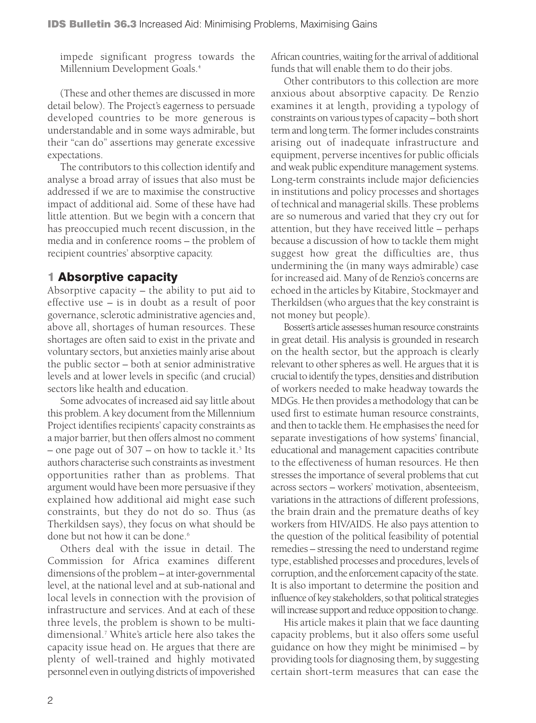impede significant progress towards the Millennium Development Goals. 4

(These and other themes are discussed in more detail below). The Project's eagerness to persuade developed countries to be more generous is understandable and in some ways admirable, but their "can do" assertions may generate excessive expectations.

The contributors to this collection identify and analyse a broad array of issues that also must be addressed if we are to maximise the constructive impact of additional aid. Some of these have had little attention. But we begin with a concern that has preoccupied much recent discussion, in the media and in conference rooms – the problem of recipient countries' absorptive capacity.

## 1 Absorptive capacity

Absorptive capacity – the ability to put aid to effective use – is in doubt as a result of poor governance, sclerotic administrative agencies and, above all, shortages of human resources. These shortages are often said to exist in the private and voluntary sectors, but anxieties mainly arise about the public sector – both at senior administrative levels and at lower levels in specific (and crucial) sectors like health and education.

Some advocates of increased aid say little about this problem. A key document from the Millennium Project identifies recipients' capacity constraints as a major barrier, but then offers almost no comment – one page out of 307 – on how to tackle it. 5 Its authors characterise such constraints as investment opportunities rather than as problems. That argument would have been more persuasive if they explained how additional aid might ease such constraints, but they do not do so. Thus (as Therkildsen says), they focus on what should be done but not how it can be done.<sup>6</sup>

Others deal with the issue in detail. The Commission for Africa examines different dimensions of the problem – at inter-governmental level, at the national level and at sub-national and local levels in connection with the provision of infrastructure and services. And at each of these three levels, the problem is shown to be multidimensional.<sup>7</sup> White's article here also takes the capacity issue head on. He argues that there are plenty of well-trained and highly motivated personnel even in outlying districts of impoverished African countries, waiting for the arrival of additional funds that will enable them to do their jobs.

Other contributors to this collection are more anxious about absorptive capacity. De Renzio examines it at length, providing a typology of constraints on various types of capacity – both short term and long term. The former includes constraints arising out of inadequate infrastructure and equipment, perverse incentives for public officials and weak public expenditure management systems. Long-term constraints include major deficiencies in institutions and policy processes and shortages of technical and managerial skills. These problems are so numerous and varied that they cry out for attention, but they have received little – perhaps because a discussion of how to tackle them might suggest how great the difficulties are, thus undermining the (in many ways admirable) case for increased aid. Many of de Renzio's concerns are echoed in the articles by Kitabire, Stockmayer and Therkildsen (who argues that the key constraint is not money but people).

Bossert's article assesses human resource constraints in great detail. His analysis is grounded in research on the health sector, but the approach is clearly relevant to other spheres as well. He argues that it is crucial to identify the types, densities and distribution of workers needed to make headway towards the MDGs. He then provides amethodology that can be used first to estimate human resource constraints, and then to tackle them. He emphasises the need for separate investigations of how systems' financial, educational and management capacities contribute to the effectiveness of human resources. He then stresses the importance of several problems that cut across sectors – workers' motivation, absenteeism, variations in the attractions of different professions, the brain drain and the premature deaths of key workers from HIV/AIDS. He also pays attention to the question of the political feasibility of potential remedies – stressing the need to understand regime type, established processes and procedures, levels of corruption, and the enforcement capacity of the state. It is also important to determine the position and influence of key stakeholders, so that political strategies will increase support and reduce opposition to change.

His article makes it plain that we face daunting capacity problems, but it also offers some useful guidance on how they might be minimised – by providing tools for diagnosing them, by suggesting certain short-term measures that can ease the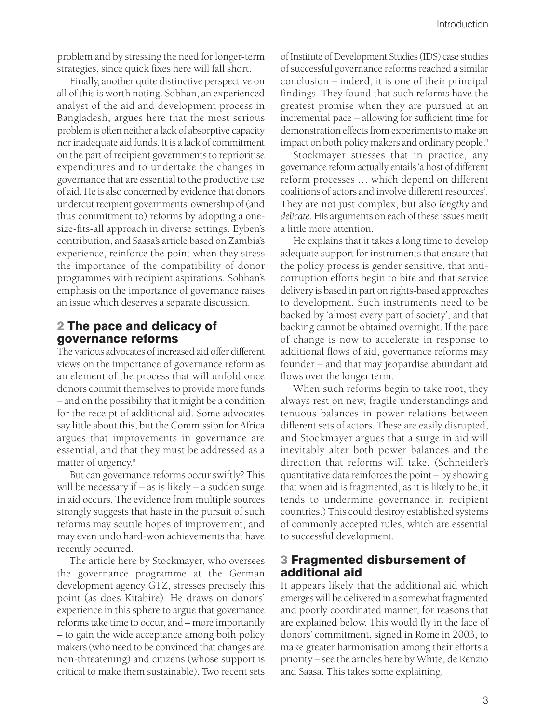problem and by stressing the need for longer-term strategies, since quick fixes here will fall short.

Finally, another quite distinctive perspective on all of this is worth noting. Sobhan, an experienced analyst of the aid and development process in Bangladesh, argues here that the most serious problemis often neither a lack of absorptive capacity nor inadequate aid funds. It is a lack of commitment on the part of recipient governments to reprioritise expenditures and to undertake the changes in governance that are essential to the productive use of aid. He is also concerned by evidence that donors undercut recipient governments' ownership of(and thus commitment to) reforms by adopting a onesize-fits-all approach in diverse settings. Eyben's contribution, and Saasa's article based on Zambia's experience, reinforce the point when they stress the importance of the compatibility of donor programmes with recipient aspirations. Sobhan's emphasis on the importance of governance raises an issue which deserves a separate discussion.

## 2 The pace and delicacy of governance reforms

The various advocates of increased aid offer different views on the importance of governance reform as an element of the process that will unfold once donors commit themselves to provide more funds – and on the possibility that it might be a condition for the receipt of additional aid. Some advocates say little about this, but the Commission for Africa argues that improvements in governance are essential, and that they must be addressed as a matter of urgency. 8

But can governance reforms occur swiftly? This will be necessary if – as is likely – a sudden surge in aid occurs. The evidence from multiple sources strongly suggests that haste in the pursuit of such reforms may scuttle hopes of improvement, and may even undo hard-won achievements that have recently occurred.

The article here by Stockmayer, who oversees the governance programme at the German development agency GTZ, stresses precisely this point (as does Kitabire). He draws on donors' experience in this sphere to argue that governance reforms take time to occur, and – more importantly – to gain the wide acceptance among both policy makers (who need to be convinced that changes are non-threatening) and citizens (whose support is critical to make them sustainable). Two recent sets of Institute of Development Studies (IDS) case studies of successful governance reforms reached a similar conclusion – indeed, it is one of their principal findings. They found that such reforms have the greatest promise when they are pursued at an incremental pace – allowing for sufficient time for demonstration effects from experiments to make an impact on both policy makers and ordinary people.<sup>9</sup>

Stockmayer stresses that in practice, any governance reformactually entails 'a host of different reform processes … which depend on different coalitions of actors and involve different resources'. They are not just complex, but also *lengthy* and *delicate*. His arguments on each of these issues merit a little more attention.

He explains that it takes a long time to develop adequate support for instruments that ensure that the policy process is gender sensitive, that anticorruption efforts begin to bite and that service delivery is based in part on rights-based approaches to development. Such instruments need to be backed by 'almost every part of society', and that backing cannot be obtained overnight. If the pace of change is now to accelerate in response to additional flows of aid, governance reforms may founder – and that may jeopardise abundant aid flows over the longer term.

When such reforms begin to take root, they always rest on new, fragile understandings and tenuous balances in power relations between different sets of actors. These are easily disrupted, and Stockmayer argues that a surge in aid will inevitably alter both power balances and the direction that reforms will take. (Schneider's quantitative data reinforces the point – by showing that when aid is fragmented, as it is likely to be, it tends to undermine governance in recipient countries.) This could destroy established systems of commonly accepted rules, which are essential to successful development.

# 3 Fragmented disbursement of additional aid

It appears likely that the additional aid which emerges will be delivered in a somewhat fragmented and poorly coordinated manner, for reasons that are explained below. This would fly in the face of donors' commitment, signed in Rome in 2003, to make greater harmonisation among their efforts a priority – see the articles here by White, de Renzio and Saasa. This takes some explaining.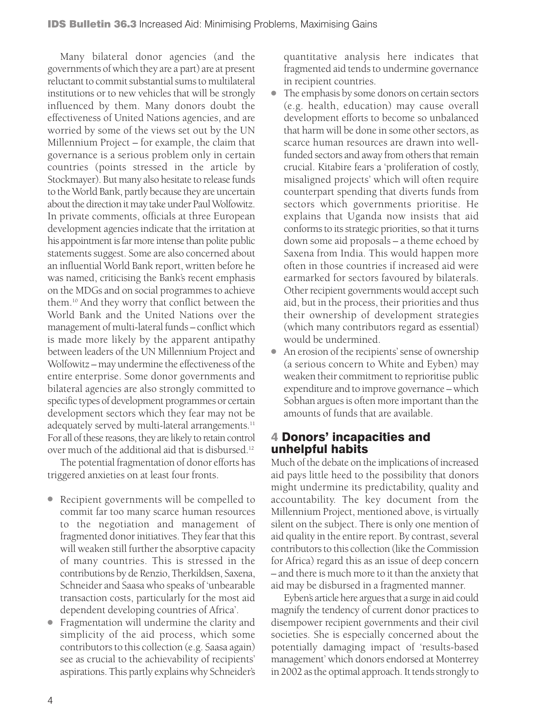Many bilateral donor agencies (and the governments of which they are a part) are at present reluctant to commit substantial sums to multilateral institutions or to new vehicles that will be strongly influenced by them. Many donors doubt the effectiveness of United Nations agencies, and are worried by some of the views set out by the UN Millennium Project – for example, the claim that governance is a serious problem only in certain countries (points stressed in the article by Stockmayer). But many also hesitate to release funds to theWorld Bank, partly because they are uncertain about the direction it may take under Paul Wolfowitz. In private comments, officials at three European development agencies indicate that the irritation at his appointment is far more intense than polite public statements suggest. Some are also concerned about an influential World Bank report, written before he was named, criticising the Bank's recent emphasis on the MDGs and on social programmes to achieve them.<sup>10</sup> And they worry that conflict between the World Bank and the United Nations over the management of multi-lateral funds – conflict which is made more likely by the apparent antipathy between leaders of the UN Millennium Project and Wolfowitz –may undermine the effectiveness of the entire enterprise. Some donor governments and bilateral agencies are also strongly committed to specific types of development programmes or certain development sectors which they fear may not be adequately served by multi-lateral arrangements. 11 For all of these reasons, they are likely to retain control over much of the additional aid that is disbursed.<sup>12</sup>

The potential fragmentation of donor efforts has triggered anxieties on at least four fronts.

- Recipient governments will be compelled to commit far too many scarce human resources to the negotiation and management of fragmented donor initiatives. They fear that this will weaken still further the absorptive capacity of many countries. This is stressed in the contributions by de Renzio, Therkildsen, Saxena, Schneider and Saasa who speaks of 'unbearable transaction costs, particularly for the most aid dependent developing countries of Africa'.
- Fragmentation will undermine the clarity and simplicity of the aid process, which some contributors to this collection (e.g. Saasa again) see as crucial to the achievability of recipients' aspirations. This partly explains why Schneider's

quantitative analysis here indicates that fragmented aid tends to undermine governance in recipient countries.

- The emphasis by some donors on certain sectors (e.g. health, education) may cause overall development efforts to become so unbalanced that harm will be done in some other sectors, as scarce human resources are drawn into wellfunded sectors and away from others that remain crucial. Kitabire fears a 'proliferation of costly, misaligned projects' which will often require counterpart spending that diverts funds from sectors which governments prioritise. He explains that Uganda now insists that aid conforms to its strategic priorities, so that it turns down some aid proposals – a theme echoed by Saxena from India. This would happen more often in those countries if increased aid were earmarked for sectors favoured by bilaterals. Other recipient governments would accept such aid, but in the process, their priorities and thus their ownership of development strategies (which many contributors regard as essential) would be undermined.
- An erosion of the recipients' sense of ownership (a serious concern to White and Eyben) may weaken their commitment to reprioritise public expenditure and to improve governance – which Sobhan argues is often more important than the amounts of funds that are available.

# 4 Donors' incapacities and unhelpful habits

Much of the debate on the implications of increased aid pays little heed to the possibility that donors might undermine its predictability, quality and accountability. The key document from the Millennium Project, mentioned above, is virtually silent on the subject. There is only one mention of aid quality in the entire report. By contrast, several contributors to this collection (like the Commission for Africa) regard this as an issue of deep concern – and there is much more to it than the anxiety that aid may be disbursed in a fragmented manner.

Eyben's article here argues that a surge in aid could magnify the tendency of current donor practices to disempower recipient governments and their civil societies. She is especially concerned about the potentially damaging impact of 'results-based management' which donors endorsed at Monterrey in 2002 as the optimal approach.It tends strongly to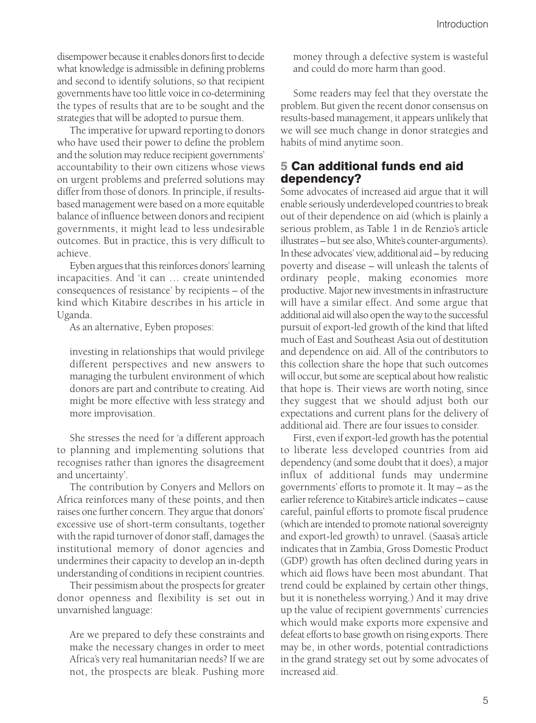disempower because it enables donors first to decide what knowledge is admissible in defining problems and second to identify solutions, so that recipient governments have too little voice in co-determining the types of results that are to be sought and the strategies that will be adopted to pursue them.

The imperative for upward reporting to donors who have used their power to define the problem and the solution may reduce recipient governments' accountability to their own citizens whose views on urgent problems and preferred solutions may differ from those of donors. In principle, if resultsbased management were based on a more equitable balance of influence between donors and recipient governments, it might lead to less undesirable outcomes. But in practice, this is very difficult to achieve.

Eyben argues that this reinforces donors' learning incapacities. And 'it can … create unintended consequences of resistance' by recipients – of the kind which Kitabire describes in his article in Uganda.

As an alternative, Eyben proposes:

investing in relationships that would privilege different perspectives and new answers to managing the turbulent environment of which donors are part and contribute to creating. Aid might be more effective with less strategy and more improvisation.

She stresses the need for 'a different approach to planning and implementing solutions that recognises rather than ignores the disagreement and uncertainty'.

The contribution by Conyers and Mellors on Africa reinforces many of these points, and then raises one further concern. They argue that donors' excessive use of short-term consultants, together with the rapid turnover of donor staff, damages the institutional memory of donor agencies and undermines their capacity to develop an in-depth understanding of conditions in recipient countries.

Their pessimism about the prospects for greater donor openness and flexibility is set out in unvarnished language:

Are we prepared to defy these constraints and make the necessary changes in order to meet Africa's very real humanitarian needs? If we are not, the prospects are bleak. Pushing more money through a defective system is wasteful and could do more harm than good.

Some readers may feel that they overstate the problem. But given the recent donor consensus on results-based management, it appears unlikely that we will see much change in donor strategies and habits of mind anytime soon.

# 5 Can additional funds end aid dependency?

Some advocates of increased aid argue that it will enable seriously underdeveloped countries to break out of their dependence on aid (which is plainly a serious problem, as Table 1 in de Renzio's article illustrates – but see also, White's counter-arguments). In these advocates' view, additional aid – by reducing poverty and disease – will unleash the talents of ordinary people, making economies more productive. Major new investments in infrastructure will have a similar effect. And some argue that additional aid will also open the way to the successful pursuit of export-led growth of the kind that lifted much of East and Southeast Asia out of destitution and dependence on aid. All of the contributors to this collection share the hope that such outcomes will occur, but some are sceptical about how realistic that hope is. Their views are worth noting, since they suggest that we should adjust both our expectations and current plans for the delivery of additional aid. There are four issues to consider.

First, even if export-led growth has the potential to liberate less developed countries from aid dependency (and some doubt that it does), a major influx of additional funds may undermine governments' efforts to promote it. It may – as the earlier reference to Kitabire's article indicates – cause careful, painful efforts to promote fiscal prudence (which are intended to promote national sovereignty and export-led growth) to unravel. (Saasa's article indicates that in Zambia, Gross Domestic Product (GDP) growth has often declined during years in which aid flows have been most abundant. That trend could be explained by certain other things, but it is nonetheless worrying.) And it may drive up the value of recipient governments' currencies which would make exports more expensive and defeat efforts to base growth on rising exports. There may be, in other words, potential contradictions in the grand strategy set out by some advocates of increased aid.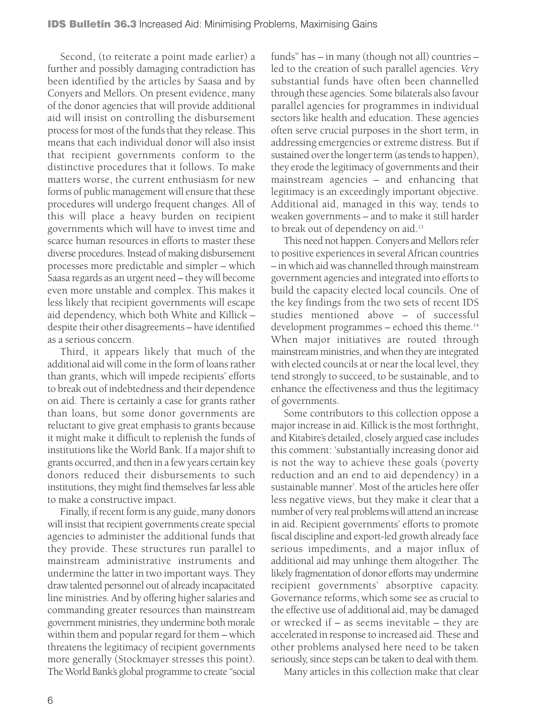Second, (to reiterate a point made earlier) a further and possibly damaging contradiction has been identified by the articles by Saasa and by Conyers and Mellors. On present evidence, many of the donor agencies that will provide additional aid will insist on controlling the disbursement process for most of the funds that they release. This means that each individual donor will also insist that recipient governments conform to the distinctive procedures that it follows. To make matters worse, the current enthusiasm for new forms of public management will ensure that these procedures will undergo frequent changes. All of this will place a heavy burden on recipient governments which will have to invest time and scarce human resources in efforts to master these diverse procedures. Instead of making disbursement processes more predictable and simpler – which Saasa regards as an urgent need – they will become even more unstable and complex. This makes it less likely that recipient governments will escape aid dependency, which both White and Killick – despite their other disagreements – have identified as a serious concern.

Third, it appears likely that much of the additional aid will come in the form of loans rather than grants, which will impede recipients' efforts to break out of indebtedness and their dependence on aid. There is certainly a case for grants rather than loans, but some donor governments are reluctant to give great emphasis to grants because it might make it difficult to replenish the funds of institutions like the World Bank. If a major shift to grants occurred, and then in a few years certain key donors reduced their disbursements to such institutions, they might find themselves far less able to make a constructive impact.

Finally, if recent form is any guide, many donors will insist that recipient governments create special agencies to administer the additional funds that they provide. These structures run parallel to mainstream administrative instruments and undermine the latter in two important ways. They draw talented personnel out of already incapacitated line ministries. And by offering higher salaries and commanding greater resources than mainstream government ministries, they undermine bothmorale within them and popular regard for them – which threatens the legitimacy of recipient governments more generally (Stockmayer stresses this point). The World Bank's global programme to create "social funds" has – in many (though not all) countries – led to the creation of such parallel agencies. *Very* substantial funds have often been channelled through these agencies. Some bilaterals also favour parallel agencies for programmes in individual sectors like health and education. These agencies often serve crucial purposes in the short term, in addressing emergencies or extreme distress. But if sustained over the longer term (as tends to happen), they erode the legitimacy of governments and their mainstream agencies – and enhancing that legitimacy is an exceedingly important objective. Additional aid, managed in this way, tends to weaken governments – and to make it still harder to break out of dependency on aid.<sup>13</sup>

This need not happen.Conyers and Mellors refer to positive experiences in several African countries – in which aid was channelled through mainstream government agencies and integrated into efforts to build the capacity elected local councils. One of the key findings from the two sets of recent IDS studies mentioned above – of successful development programmes - echoed this theme.<sup>14</sup> When major initiatives are routed through mainstreamministries, and when they are integrated with elected councils at or near the local level, they tend strongly to succeed, to be sustainable, and to enhance the effectiveness and thus the legitimacy of governments.

Some contributors to this collection oppose a major increase in aid. Killick is the most forthright, and Kitabire's detailed, closely argued case includes this comment: 'substantially increasing donor aid is not the way to achieve these goals (poverty reduction and an end to aid dependency) in a sustainable manner'. Most of the articles here offer less negative views, but they make it clear that a number of very real problems will attend an increase in aid. Recipient governments' efforts to promote fiscal discipline and export-led growth already face serious impediments, and a major influx of additional aid may unhinge them altogether. The likely fragmentation of donor efforts may undermine recipient governments' absorptive capacity. Governance reforms, which some see as crucial to the effective use of additional aid, may be damaged or wrecked if – as seems inevitable – they are accelerated in response to increased aid. These and other problems analysed here need to be taken seriously, since steps can be taken to deal with them.

Many articles in this collection make that clear